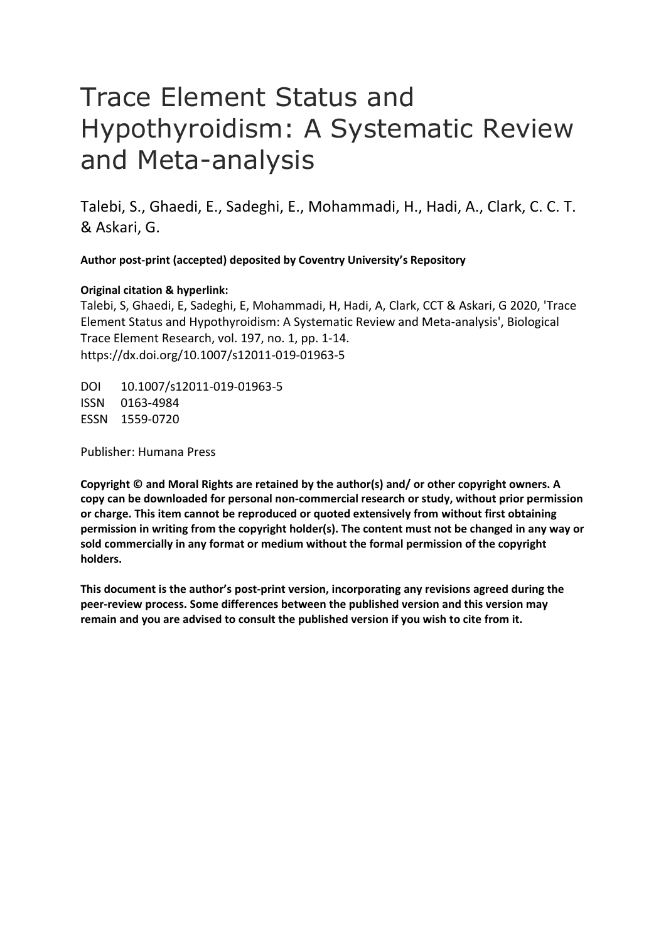# Trace Element Status and Hypothyroidism: A Systematic Review and Meta-analysis

Talebi, S., Ghaedi, E., Sadeghi, E., Mohammadi, H., Hadi, A., Clark, C. C. T. & Askari, G.

**Author post-print (accepted) deposited by Coventry University's Repository**

# **Original citation & hyperlink:**

Talebi, S, Ghaedi, E, Sadeghi, E, Mohammadi, H, Hadi, A, Clark, CCT & Askari, G 2020, 'Trace Element Status and Hypothyroidism: A Systematic Review and Meta-analysis', Biological Trace Element Research, vol. 197, no. 1, pp. 1-14. https://dx.doi.org/10.1007/s12011-019-01963-5

DOI 10.1007/s12011-019-01963-5 ISSN 0163-4984 ESSN 1559-0720

Publisher: Humana Press

**Copyright © and Moral Rights are retained by the author(s) and/ or other copyright owners. A copy can be downloaded for personal non-commercial research or study, without prior permission or charge. This item cannot be reproduced or quoted extensively from without first obtaining permission in writing from the copyright holder(s). The content must not be changed in any way or sold commercially in any format or medium without the formal permission of the copyright holders.** 

**This document is the author's post-print version, incorporating any revisions agreed during the peer-review process. Some differences between the published version and this version may remain and you are advised to consult the published version if you wish to cite from it.**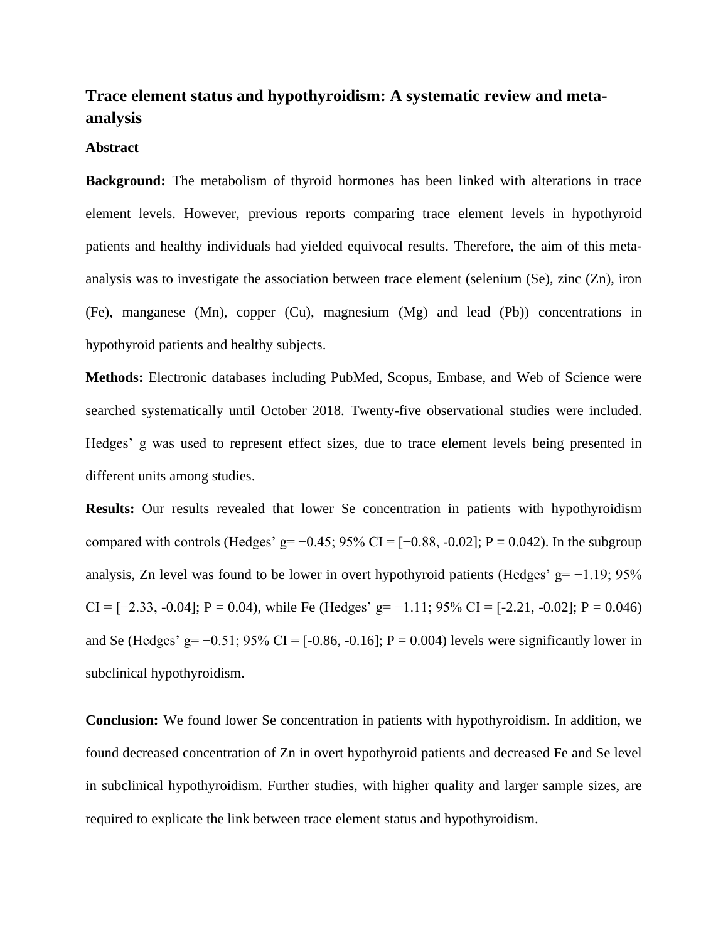# **Trace element status and hypothyroidism: A systematic review and metaanalysis**

# **Abstract**

**Background:** The metabolism of thyroid hormones has been linked with alterations in trace element levels. However, previous reports comparing trace element levels in hypothyroid patients and healthy individuals had yielded equivocal results. Therefore, the aim of this metaanalysis was to investigate the association between trace element (selenium (Se), zinc (Zn), iron (Fe), manganese (Mn), copper (Cu), magnesium (Mg) and lead (Pb)) concentrations in hypothyroid patients and healthy subjects.

**Methods:** Electronic databases including PubMed, Scopus, Embase, and Web of Science were searched systematically until October 2018. Twenty-five observational studies were included. Hedges' g was used to represent effect sizes, due to trace element levels being presented in different units among studies.

**Results:** Our results revealed that lower Se concentration in patients with hypothyroidism compared with controls (Hedges' g= −0.45; 95% CI = [−0.88, -0.02]; P = 0.042). In the subgroup analysis, Zn level was found to be lower in overt hypothyroid patients (Hedges'  $g = -1.19$ ; 95% CI =  $[-2.33, -0.04]$ ; P = 0.04), while Fe (Hedges' g=  $-1.11$ ; 95% CI =  $[-2.21, -0.02]$ ; P = 0.046) and Se (Hedges' g=  $-0.51$ ; 95% CI = [ $-0.86$ ,  $-0.16$ ]; P = 0.004) levels were significantly lower in subclinical hypothyroidism.

**Conclusion:** We found lower Se concentration in patients with hypothyroidism. In addition, we found decreased concentration of Zn in overt hypothyroid patients and decreased Fe and Se level in subclinical hypothyroidism. Further studies, with higher quality and larger sample sizes, are required to explicate the link between trace element status and hypothyroidism.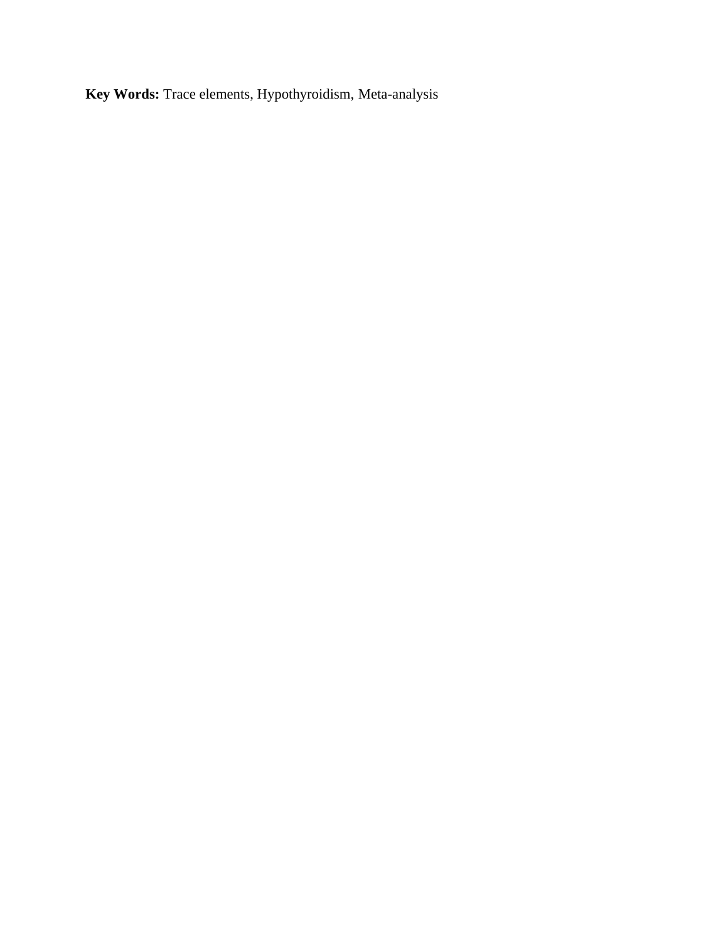**Key Words:** Trace elements, Hypothyroidism, Meta-analysis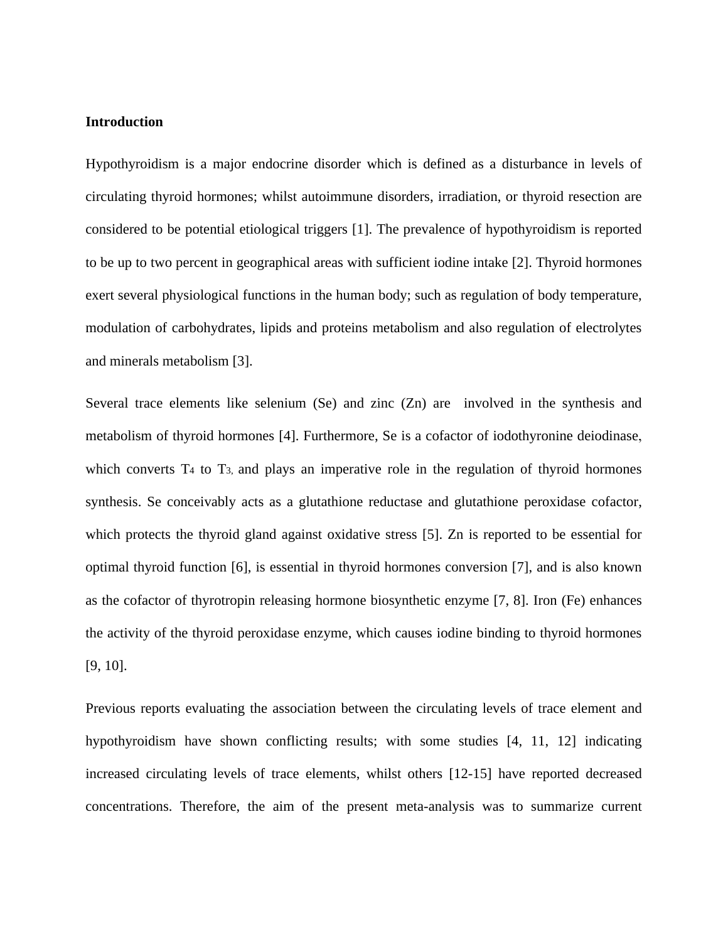## **Introduction**

Hypothyroidism is a major endocrine disorder which is defined as a disturbance in levels of circulating thyroid hormones; whilst autoimmune disorders, irradiation, or thyroid resection are considered to be potential etiological triggers [1]. The prevalence of hypothyroidism is reported to be up to two percent in geographical areas with sufficient iodine intake [2]. Thyroid hormones exert several physiological functions in the human body; such as regulation of body temperature, modulation of carbohydrates, lipids and proteins metabolism and also regulation of electrolytes and minerals metabolism [3].

Several trace elements like selenium (Se) and zinc (Zn) are involved in the synthesis and metabolism of thyroid hormones [4]. Furthermore, Se is a cofactor of iodothyronine deiodinase , which converts  $T_4$  to  $T_3$ , and plays an imperative role in the regulation of thyroid hormones synthesis. Se conceivably acts as a glutathione reductase and glutathione peroxidase cofactor, which protects the thyroid gland against oxidative stress [5]. Zn is reported to be essential for optimal thyroid function [6], is essential in thyroid hormones conversion [7], and is also known as the cofactor of thyrotropin releasing hormone biosynthetic enzyme [7, 8]. Iron (Fe) enhances the activity of the thyroid peroxidase enzyme, which causes iodine binding to thyroid hormones [9, 10].

Previous reports evaluating the association between the circulating levels of trace element and hypothyroidism have shown conflicting results; with some studies [4, 11, 12] indicating increased circulating levels of trace elements, whilst others [12-15] have reported decreased concentrations. Therefore, the aim of the present meta-analysis was to summarize current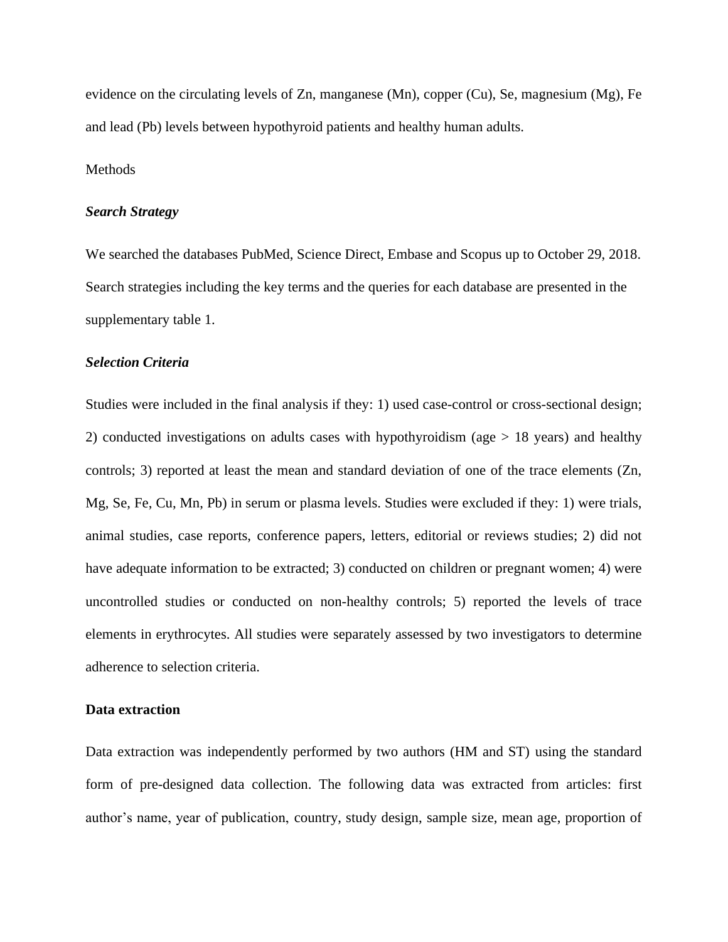evidence on the circulating levels of Zn, manganese (Mn), copper (Cu), Se, magnesium (Mg), Fe and lead (Pb) levels between hypothyroid patients and healthy human adults.

# Methods

## *Search Strategy*

We searched the databases PubMed, Science Direct, Embase and Scopus up to October 29, 2018. Search strategies including the key terms and the queries for each database are presented in the supplementary table 1.

## *Selection Criteria*

Studies were included in the final analysis if they: 1) used case-control or cross-sectional design; 2) conducted investigations on adults cases with hypothyroidism (age > 18 years) and healthy controls; 3) reported at least the mean and standard deviation of one of the trace elements (Zn, Mg, Se, Fe, Cu, Mn, Pb) in serum or plasma levels. Studies were excluded if they: 1) were trials, animal studies, case reports, conference papers, letters, editorial or reviews studies; 2) did not have adequate information to be extracted; 3) conducted on children or pregnant women; 4) were uncontrolled studies or conducted on non-healthy controls; 5) reported the levels of trace elements in erythrocytes. All studies were separately assessed by two investigators to determine adherence to selection criteria.

## **Data extraction**

Data extraction was independently performed by two authors (HM and ST) using the standard form of pre-designed data collection. The following data was extracted from articles: first author's name, year of publication, country, study design, sample size, mean age, proportion of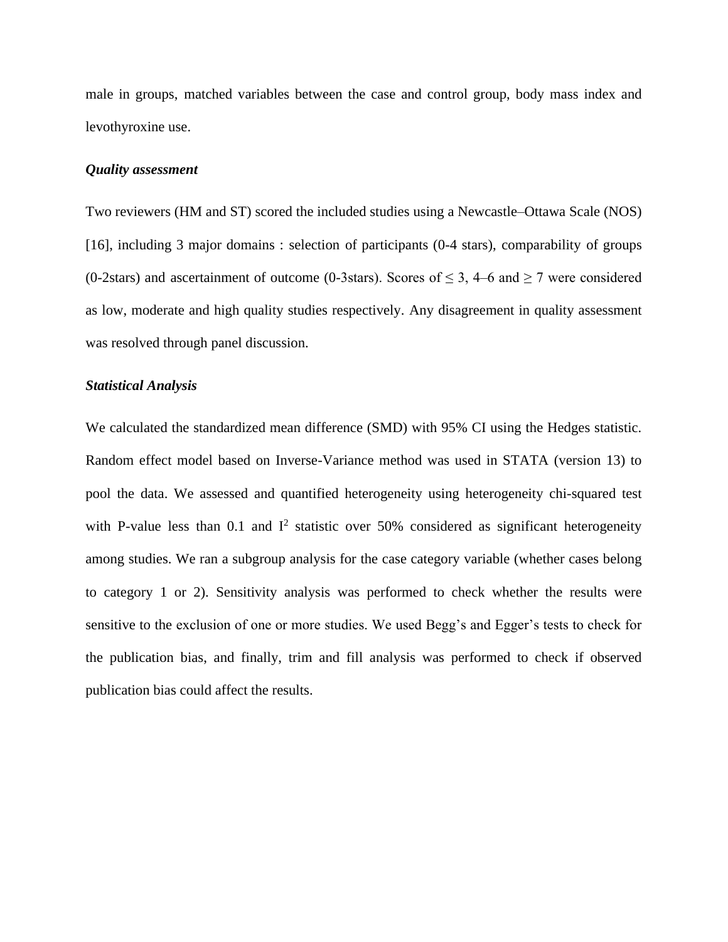male in groups, matched variables between the case and control group, body mass index and levothyroxine use.

# *Quality assessment*

Two reviewers (HM and ST) scored the included studies using a Newcastle–Ottawa Scale (NOS) [16], including 3 major domains : selection of participants (0-4 stars), comparability of groups (0-2stars) and ascertainment of outcome (0-3stars). Scores of  $\leq$  3, 4–6 and  $\geq$  7 were considered as low, moderate and high quality studies respectively. Any disagreement in quality assessment was resolved through panel discussion.

# *Statistical Analysis*

We calculated the standardized mean difference (SMD) with 95% CI using the Hedges statistic. Random effect model based on Inverse-Variance method was used in STATA (version 13) to pool the data. We assessed and quantified heterogeneity using heterogeneity chi-squared test with P-value less than 0.1 and  $I^2$  statistic over 50% considered as significant heterogeneity among studies. We ran a subgroup analysis for the case category variable (whether cases belong to category 1 or 2). Sensitivity analysis was performed to check whether the results were sensitive to the exclusion of one or more studies. We used Begg's and Egger's tests to check for the publication bias, and finally, trim and fill analysis was performed to check if observed publication bias could affect the results.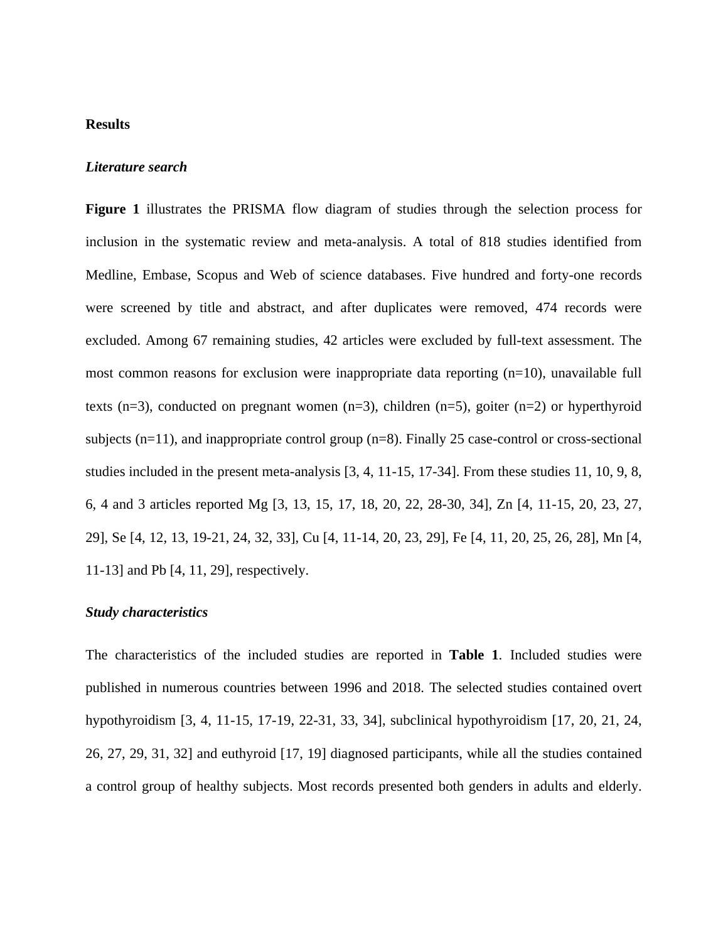# **Results**

#### *Literature search*

**Figure 1** illustrates the PRISMA flow diagram of studies through the selection process for inclusion in the systematic review and meta-analysis. A total of 818 studies identified from Medline, Embase, Scopus and Web of science databases. Five hundred and forty-one records were screened by title and abstract, and after duplicates were removed, 474 records were excluded. Among 67 remaining studies, 42 articles were excluded by full-text assessment. The most common reasons for exclusion were inappropriate data reporting  $(n=10)$ , unavailable full texts (n=3), conducted on pregnant women (n=3), children (n=5), goiter (n=2) or hyperthyroid subjects  $(n=11)$ , and inappropriate control group  $(n=8)$ . Finally 25 case-control or cross-sectional studies included in the present meta-analysis [3, 4, 11-15, 17-34]. From these studies 11, 10, 9, 8, 6, 4 and 3 articles reported Mg [3, 13, 15, 17, 18, 20, 22, 28-30, 34], Zn [4, 11-15, 20, 23, 27, 29], Se [4, 12, 13, 19-21, 24, 32, 33], Cu [4, 11-14, 20, 23, 29], Fe [4, 11, 20, 25, 26, 28], Mn [4, 11-13] and Pb [4, 11, 29], respectively.

# *Study characteristics*

The characteristics of the included studies are reported in **Table 1**. Included studies were published in numerous countries between 1996 and 2018. The selected studies contained overt hypothyroidism [3, 4, 11-15, 17-19, 22-31, 33, 34], subclinical hypothyroidism [17, 20, 21, 24, 26, 27, 29, 31, 32] and euthyroid [17, 19] diagnosed participants, while all the studies contained a control group of healthy subjects. Most records presented both genders in adults and elderly.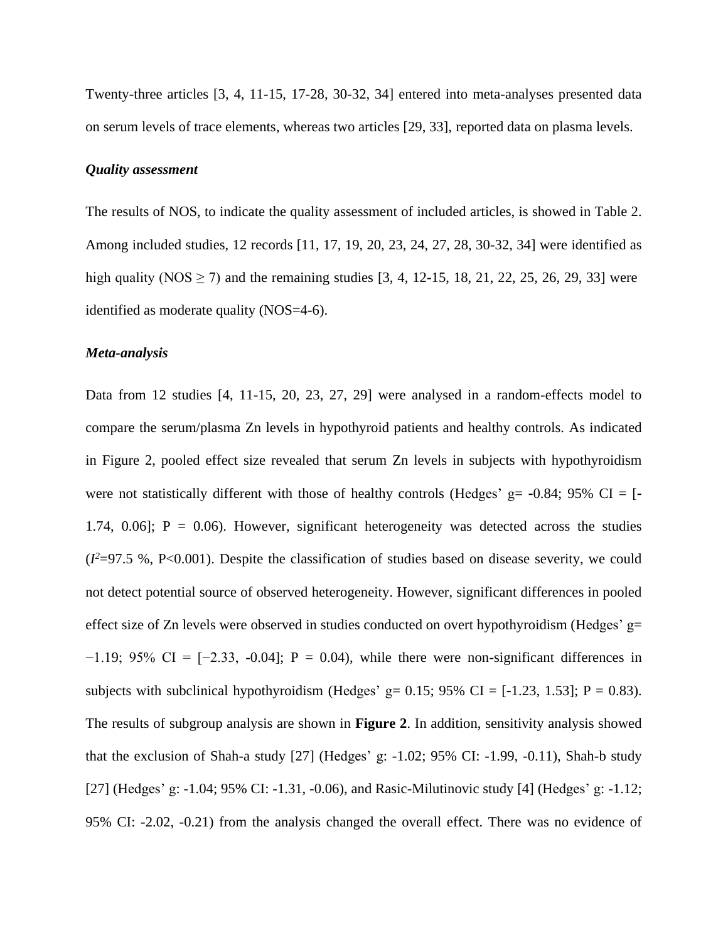Twenty-three articles [3, 4, 11-15, 17-28, 30-32, 34] entered into meta-analyses presented data on serum levels of trace elements, whereas two articles [29, 33], reported data on plasma levels.

# *Quality assessment*

The results of NOS, to indicate the quality assessment of included articles, is showed in Table 2. Among included studies, 12 records [11, 17, 19, 20, 23, 24, 27, 28, 30-32, 34] were identified as high quality (NOS  $\geq$  7) and the remaining studies [3, 4, 12-15, 18, 21, 22, 25, 26, 29, 33] were identified as moderate quality (NOS=4-6).

# *Meta-analysis*

Data from 12 studies [4, 11-15, 20, 23, 27, 29] were analysed in a random-effects model to compare the serum/plasma Zn levels in hypothyroid patients and healthy controls. As indicated in Figure 2, pooled effect size revealed that serum Zn levels in subjects with hypothyroidism were not statistically different with those of healthy controls (Hedges' g=  $-0.84$ ; 95% CI = [ $-$ 1.74, 0.06];  $P = 0.06$ . However, significant heterogeneity was detected across the studies (*I <sup>2</sup>*=97.5 %, P<0.001). Despite the classification of studies based on disease severity, we could not detect potential source of observed heterogeneity. However, significant differences in pooled effect size of Zn levels were observed in studies conducted on overt hypothyroidism (Hedges'  $g=$  $-1.19$ ; 95% CI =  $[-2.33, -0.04]$ ; P = 0.04), while there were non-significant differences in subjects with subclinical hypothyroidism (Hedges' g=  $0.15$ ; 95% CI = [-1.23, 1.53]; P = 0.83). The results of subgroup analysis are shown in **Figure 2**. In addition, sensitivity analysis showed that the exclusion of Shah-a study [27] (Hedges' g: -1.02; 95% CI: -1.99, -0.11), Shah-b study [27] (Hedges' g: -1.04; 95% CI: -1.31, -0.06), and Rasic-Milutinovic study [4] (Hedges' g: -1.12; 95% CI: -2.02, -0.21) from the analysis changed the overall effect. There was no evidence of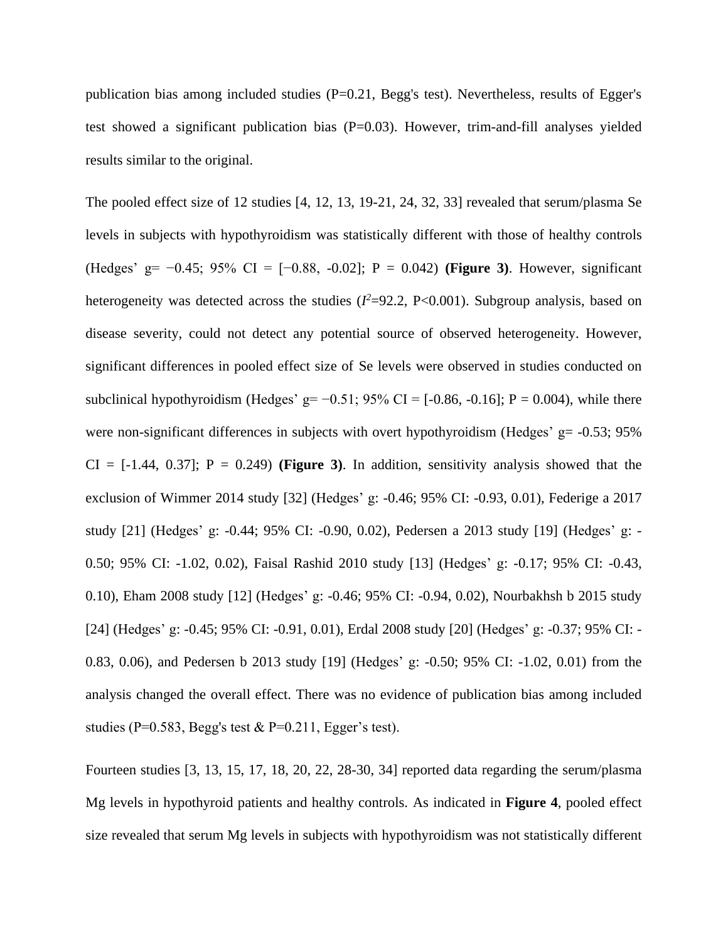publication bias among included studies (P=0.21, Begg's test). Nevertheless, results of Egger's test showed a significant publication bias (P=0.03). However, trim-and-fill analyses yielded results similar to the original.

The pooled effect size of 12 studies [4, 12, 13, 19-21, 24, 32, 33] revealed that serum/plasma Se levels in subjects with hypothyroidism was statistically different with those of healthy controls (Hedges' g= −0.45; 95% CI = [−0.88, -0.02]; P = 0.042) **(Figure 3)**. However, significant heterogeneity was detected across the studies  $(I^2=92.2, P<0.001)$ . Subgroup analysis, based on disease severity, could not detect any potential source of observed heterogeneity. However, significant differences in pooled effect size of Se levels were observed in studies conducted on subclinical hypothyroidism (Hedges' g=  $-0.51$ ; 95% CI = [ $-0.86$ ,  $-0.16$ ]; P = 0.004), while there were non-significant differences in subjects with overt hypothyroidism (Hedges'  $g = -0.53$ ; 95%  $CI = [-1.44, 0.37]$ ;  $P = 0.249$  (Figure 3). In addition, sensitivity analysis showed that the exclusion of Wimmer 2014 study [32] (Hedges' g: -0.46; 95% CI: -0.93, 0.01), Federige a 2017 study [21] (Hedges' g: -0.44; 95% CI: -0.90, 0.02), Pedersen a 2013 study [19] (Hedges' g: - 0.50; 95% CI: -1.02, 0.02), Faisal Rashid 2010 study [13] (Hedges' g: -0.17; 95% CI: -0.43, 0.10), Eham 2008 study [12] (Hedges' g: -0.46; 95% CI: -0.94, 0.02), Nourbakhsh b 2015 study [24] (Hedges' g: -0.45; 95% CI: -0.91, 0.01), Erdal 2008 study [20] (Hedges' g: -0.37; 95% CI: - 0.83, 0.06), and Pedersen b 2013 study [19] (Hedges' g: -0.50; 95% CI: -1.02, 0.01) from the analysis changed the overall effect. There was no evidence of publication bias among included studies (P=0.583, Begg's test & P=0.211, Egger's test).

Fourteen studies [3, 13, 15, 17, 18, 20, 22, 28-30, 34] reported data regarding the serum/plasma Mg levels in hypothyroid patients and healthy controls. As indicated in **Figure 4**, pooled effect size revealed that serum Mg levels in subjects with hypothyroidism was not statistically different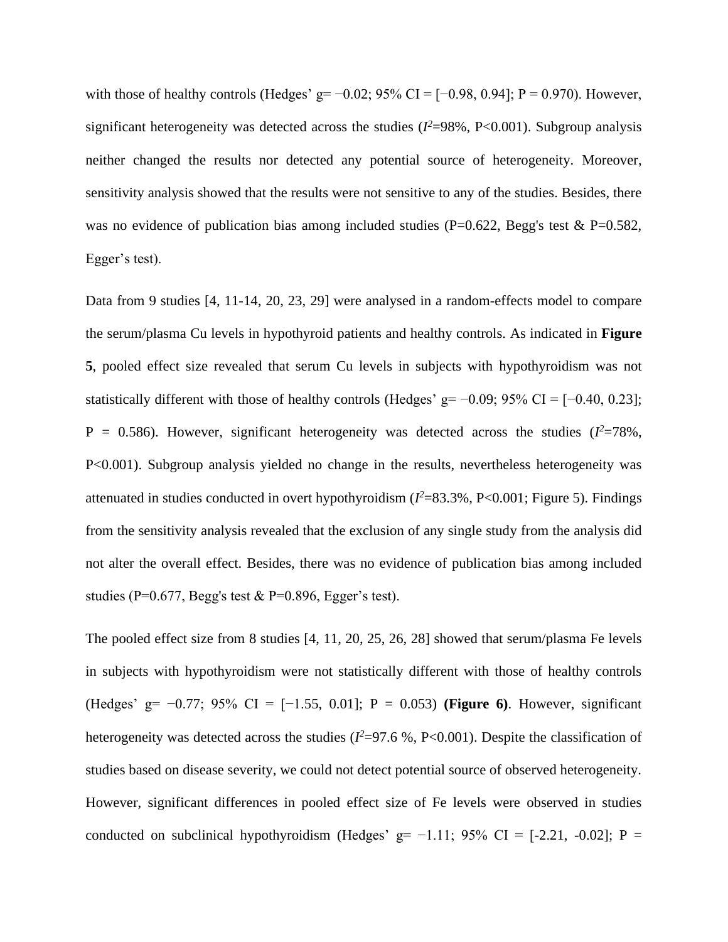with those of healthy controls (Hedges' g= −0.02; 95% CI = [−0.98, 0.94]; P = 0.970). However, significant heterogeneity was detected across the studies  $(I^2=98\% , P<0.001)$ . Subgroup analysis neither changed the results nor detected any potential source of heterogeneity. Moreover, sensitivity analysis showed that the results were not sensitive to any of the studies. Besides, there was no evidence of publication bias among included studies (P=0.622, Begg's test & P=0.582, Egger's test).

Data from 9 studies [4, 11-14, 20, 23, 29] were analysed in a random-effects model to compare the serum/plasma Cu levels in hypothyroid patients and healthy controls. As indicated in **Figure 5**, pooled effect size revealed that serum Cu levels in subjects with hypothyroidism was not statistically different with those of healthy controls (Hedges'  $g=$  -0.09; 95% CI = [-0.40, 0.23];  $P = 0.586$ ). However, significant heterogeneity was detected across the studies ( $I^2 = 78\%$ , P<0.001). Subgroup analysis yielded no change in the results, nevertheless heterogeneity was attenuated in studies conducted in overt hypothyroidism  $(I^2=83.3\%, P<0.001;$  Figure 5). Findings from the sensitivity analysis revealed that the exclusion of any single study from the analysis did not alter the overall effect. Besides, there was no evidence of publication bias among included studies (P=0.677, Begg's test & P=0.896, Egger's test).

The pooled effect size from 8 studies [4, 11, 20, 25, 26, 28] showed that serum/plasma Fe levels in subjects with hypothyroidism were not statistically different with those of healthy controls (Hedges' g= −0.77; 95% CI = [−1.55, 0.01]; P = 0.053) **(Figure 6)**. However, significant heterogeneity was detected across the studies  $(I^2=97.6 \, \%, P<0.001)$ . Despite the classification of studies based on disease severity, we could not detect potential source of observed heterogeneity. However, significant differences in pooled effect size of Fe levels were observed in studies conducted on subclinical hypothyroidism (Hedges' g=  $-1.11$ ; 95% CI = [-2.21, -0.02]; P =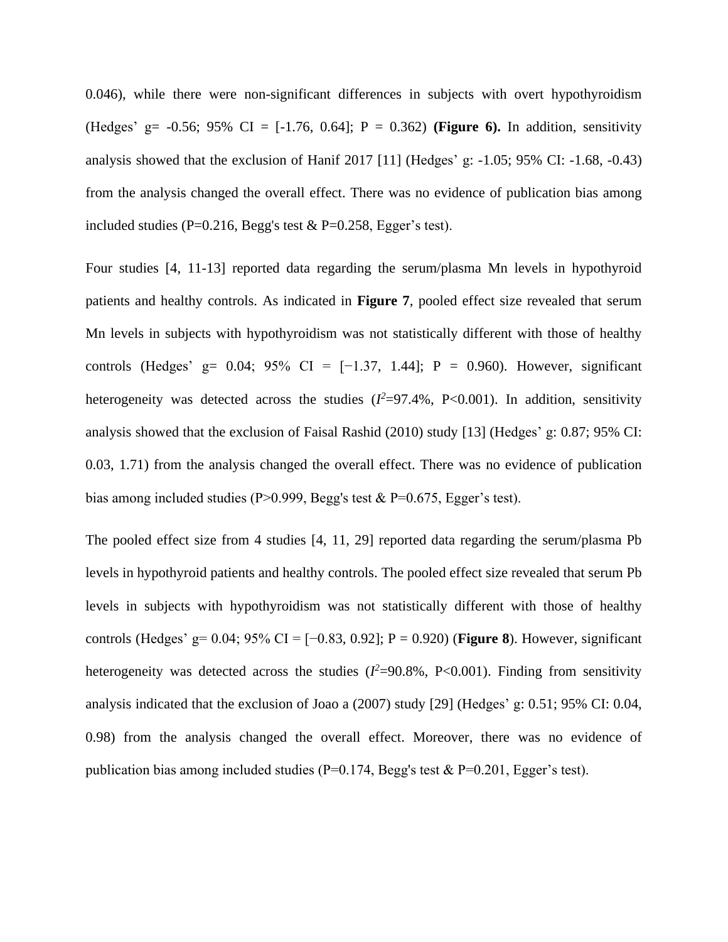0.046), while there were non-significant differences in subjects with overt hypothyroidism (Hedges' g= -0.56; 95% CI = [-1.76, 0.64]; P = 0.362) **(Figure 6).** In addition, sensitivity analysis showed that the exclusion of Hanif 2017 [11] (Hedges' g: -1.05; 95% CI: -1.68, -0.43) from the analysis changed the overall effect. There was no evidence of publication bias among included studies (P=0.216, Begg's test  $& P=0.258$ , Egger's test).

Four studies [4, 11-13] reported data regarding the serum/plasma Mn levels in hypothyroid patients and healthy controls. As indicated in **Figure 7**, pooled effect size revealed that serum Mn levels in subjects with hypothyroidism was not statistically different with those of healthy controls (Hedges' g= 0.04; 95% CI =  $[-1.37, 1.44]$ ; P = 0.960). However, significant heterogeneity was detected across the studies  $(I^2=97.4\% , P<0.001)$ . In addition, sensitivity analysis showed that the exclusion of Faisal Rashid (2010) study [13] (Hedges' g: 0.87; 95% CI: 0.03, 1.71) from the analysis changed the overall effect. There was no evidence of publication bias among included studies (P>0.999, Begg's test  $& P=0.675$ , Egger's test).

The pooled effect size from 4 studies [4, 11, 29] reported data regarding the serum/plasma Pb levels in hypothyroid patients and healthy controls. The pooled effect size revealed that serum Pb levels in subjects with hypothyroidism was not statistically different with those of healthy controls (Hedges' g= 0.04; 95% CI = [−0.83, 0.92]; P = 0.920) (**Figure 8**). However, significant heterogeneity was detected across the studies  $(I^2=90.8\% , P<0.001)$ . Finding from sensitivity analysis indicated that the exclusion of Joao a (2007) study [29] (Hedges' g: 0.51; 95% CI: 0.04, 0.98) from the analysis changed the overall effect. Moreover, there was no evidence of publication bias among included studies ( $P=0.174$ , Begg's test &  $P=0.201$ , Egger's test).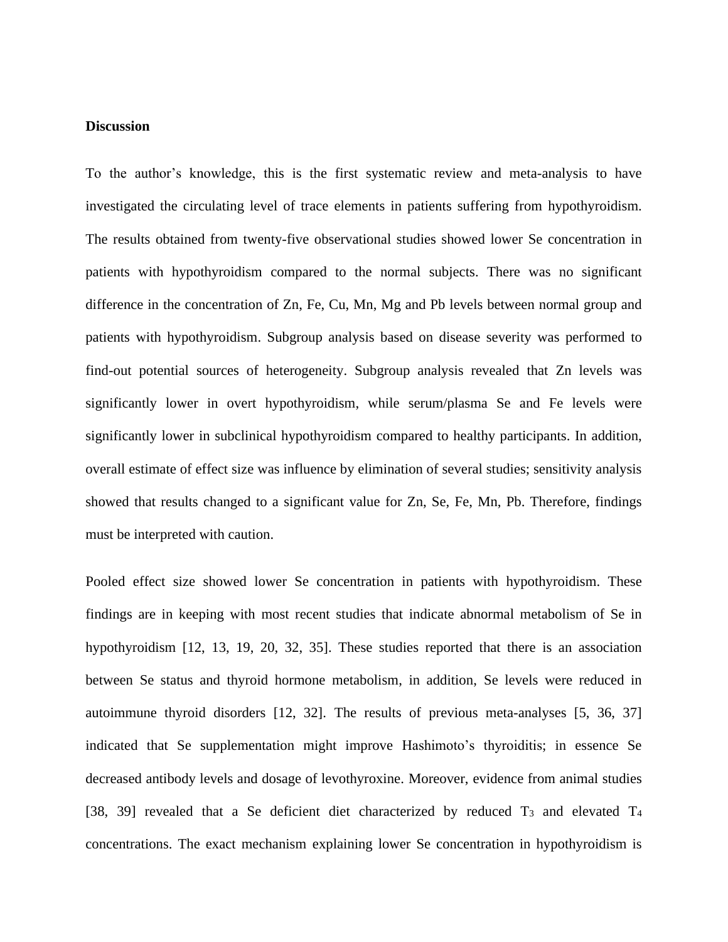# **Discussion**

To the author's knowledge, this is the first systematic review and meta-analysis to have investigated the circulating level of trace elements in patients suffering from hypothyroidism. The results obtained from twenty-five observational studies showed lower Se concentration in patients with hypothyroidism compared to the normal subjects. There was no significant difference in the concentration of Zn, Fe, Cu, Mn, Mg and Pb levels between normal group and patients with hypothyroidism. Subgroup analysis based on disease severity was performed to find-out potential sources of heterogeneity. Subgroup analysis revealed that Zn levels was significantly lower in overt hypothyroidism, while serum/plasma Se and Fe levels were significantly lower in subclinical hypothyroidism compared to healthy participants. In addition, overall estimate of effect size was influence by elimination of several studies; sensitivity analysis showed that results changed to a significant value for Zn, Se, Fe, Mn, Pb. Therefore, findings must be interpreted with caution.

Pooled effect size showed lower Se concentration in patients with hypothyroidism. These findings are in keeping with most recent studies that indicate abnormal metabolism of Se in hypothyroidism [12, 13, 19, 20, 32, 35]. These studies reported that there is an association between Se status and thyroid hormone metabolism, in addition, Se levels were reduced in autoimmune thyroid disorders [12, 32]. The results of previous meta-analyses [5, 36, 37] indicated that Se supplementation might improve Hashimoto's thyroiditis; in essence Se decreased antibody levels and dosage of levothyroxine. Moreover, evidence from animal studies [38, 39] revealed that a Se deficient diet characterized by reduced T<sub>3</sub> and elevated T<sub>4</sub> concentrations. The exact mechanism explaining lower Se concentration in hypothyroidism is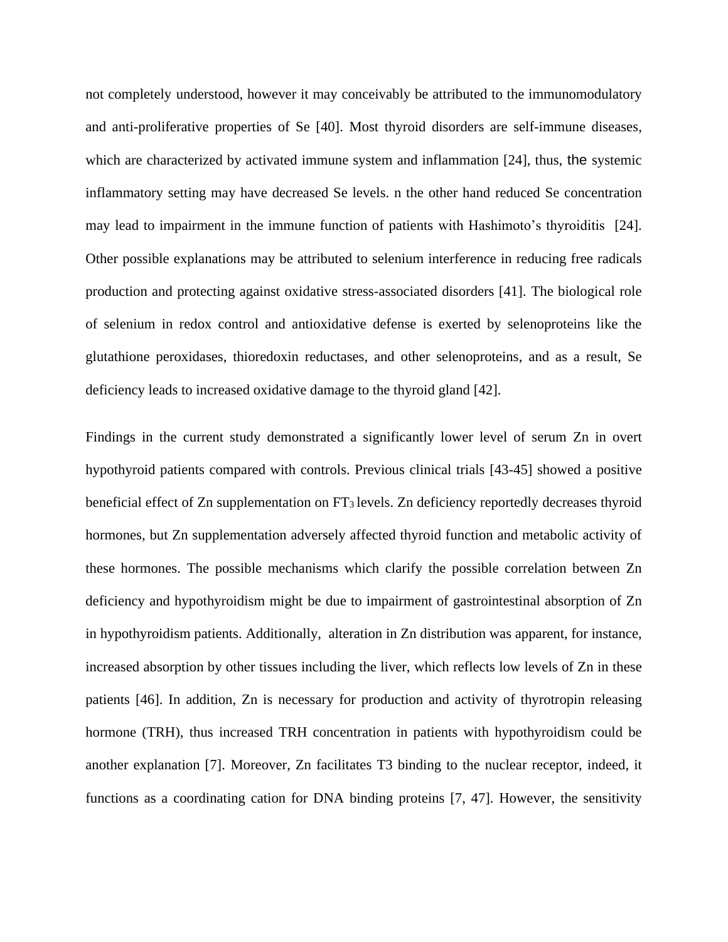not completely understood, however it may conceivably be attributed to the immunomodulatory and anti-proliferative properties of Se [40]. Most thyroid disorders are self-immune diseases, which are characterized by activated immune system and inflammation [24], thus, the systemic inflammatory setting may have decreased Se levels. n the other hand reduced Se concentration may lead to impairment in the immune function of patients with Hashimoto's thyroiditis [24]. Other possible explanations may be attributed to selenium interference in reducing free radicals production and protecting against oxidative stress-associated disorders [41]. The biological role of selenium in redox control and antioxidative defense is exerted by selenoproteins like the glutathione peroxidases, thioredoxin reductases, and other selenoproteins, and as a result, Se deficiency leads to increased oxidative damage to the thyroid gland [42].

Findings in the current study demonstrated a significantly lower level of serum Zn in overt hypothyroid patients compared with controls. Previous clinical trials [43-45] showed a positive beneficial effect of Zn supplementation on FT<sub>3</sub> levels. Zn deficiency reportedly decreases thyroid hormones, but Zn supplementation adversely affected thyroid function and metabolic activity of these hormones. The possible mechanisms which clarify the possible correlation between Zn deficiency and hypothyroidism might be due to impairment of gastrointestinal absorption of Zn in hypothyroidism patients. Additionally, alteration in Zn distribution was apparent, for instance, increased absorption by other tissues including the liver, which reflects low levels of Zn in these patients [46]. In addition, Zn is necessary for production and activity of thyrotropin releasing hormone (TRH), thus increased TRH concentration in patients with hypothyroidism could be another explanation [7]. Moreover, Zn facilitates T3 binding to the nuclear receptor, indeed, it functions as a coordinating cation for DNA binding proteins [7, 47]. However, the sensitivity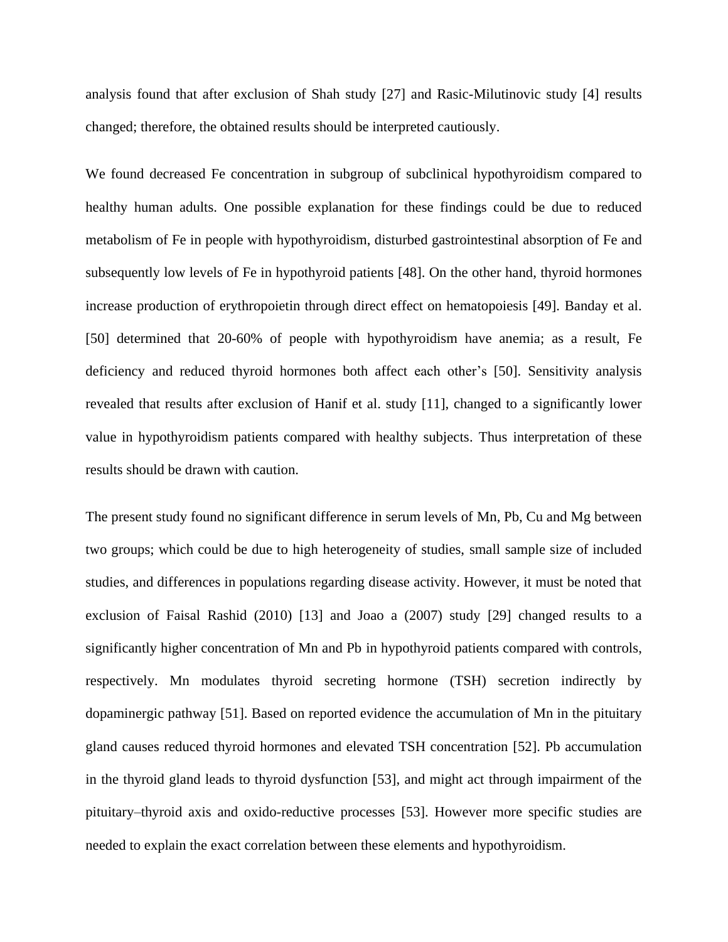analysis found that after exclusion of Shah study [27] and Rasic-Milutinovic study [4] results changed; therefore, the obtained results should be interpreted cautiously.

We found decreased Fe concentration in subgroup of subclinical hypothyroidism compared to healthy human adults. One possible explanation for these findings could be due to reduced metabolism of Fe in people with hypothyroidism, disturbed gastrointestinal absorption of Fe and subsequently low levels of Fe in hypothyroid patients [48]. On the other hand, thyroid hormones increase production of erythropoietin through direct effect on hematopoiesis [49]. Banday et al. [50] determined that 20-60% of people with hypothyroidism have anemia; as a result, Fe deficiency and reduced thyroid hormones both affect each other's [50]. Sensitivity analysis revealed that results after exclusion of Hanif et al. study [11], changed to a significantly lower value in hypothyroidism patients compared with healthy subjects. Thus interpretation of these results should be drawn with caution.

The present study found no significant difference in serum levels of Mn, Pb, Cu and Mg between two groups; which could be due to high heterogeneity of studies, small sample size of included studies, and differences in populations regarding disease activity. However, it must be noted that exclusion of Faisal Rashid (2010) [13] and Joao a (2007) study [29] changed results to a significantly higher concentration of Mn and Pb in hypothyroid patients compared with controls, respectively. Mn modulates thyroid secreting hormone (TSH) secretion indirectly by dopaminergic pathway [51]. Based on reported evidence the accumulation of Mn in the pituitary gland causes reduced thyroid hormones and elevated TSH concentration [52]. Pb accumulation in the thyroid gland leads to thyroid dysfunction [53], and might act through impairment of the pituitary–thyroid axis and oxido-reductive processes [53]. However more specific studies are needed to explain the exact correlation between these elements and hypothyroidism.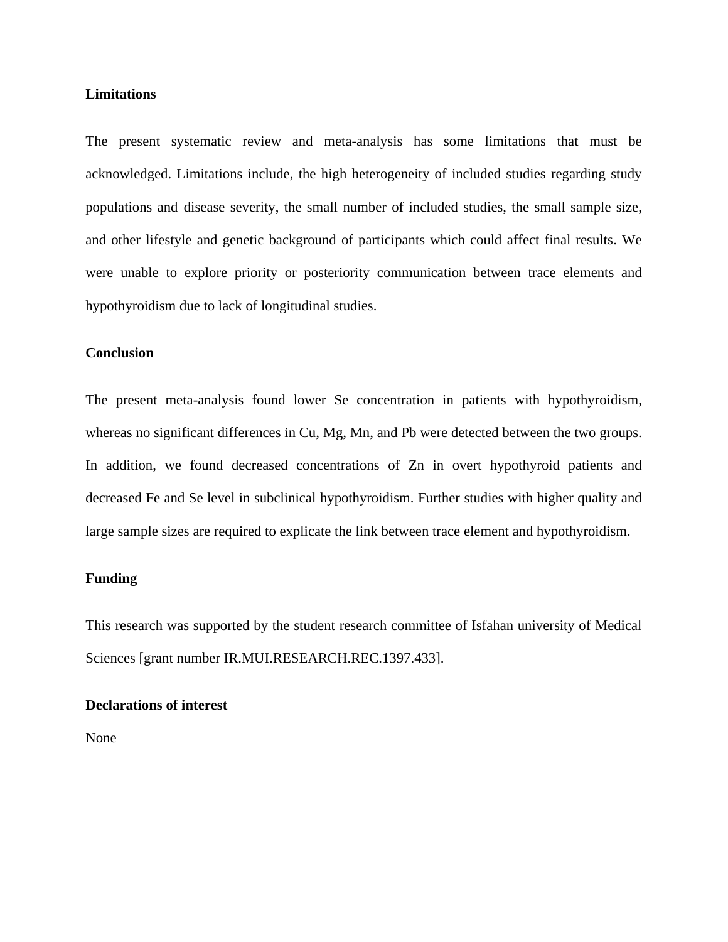# **Limitations**

The present systematic review and meta-analysis has some limitations that must be acknowledged. Limitations include, the high heterogeneity of included studies regarding study populations and disease severity, the small number of included studies, the small sample size, and other lifestyle and genetic background of participants which could affect final results. We were unable to explore priority or posteriority communication between trace elements and hypothyroidism due to lack of longitudinal studies.

# **Conclusion**

The present meta-analysis found lower Se concentration in patients with hypothyroidism, whereas no significant differences in Cu, Mg, Mn, and Pb were detected between the two groups. In addition, we found decreased concentrations of Zn in overt hypothyroid patients and decreased Fe and Se level in subclinical hypothyroidism. Further studies with higher quality and large sample sizes are required to explicate the link between trace element and hypothyroidism.

# **Funding**

This research was supported by the student research committee of Isfahan university of Medical Sciences [grant number IR.MUI.RESEARCH.REC.1397.433].

# **Declarations of interest**

None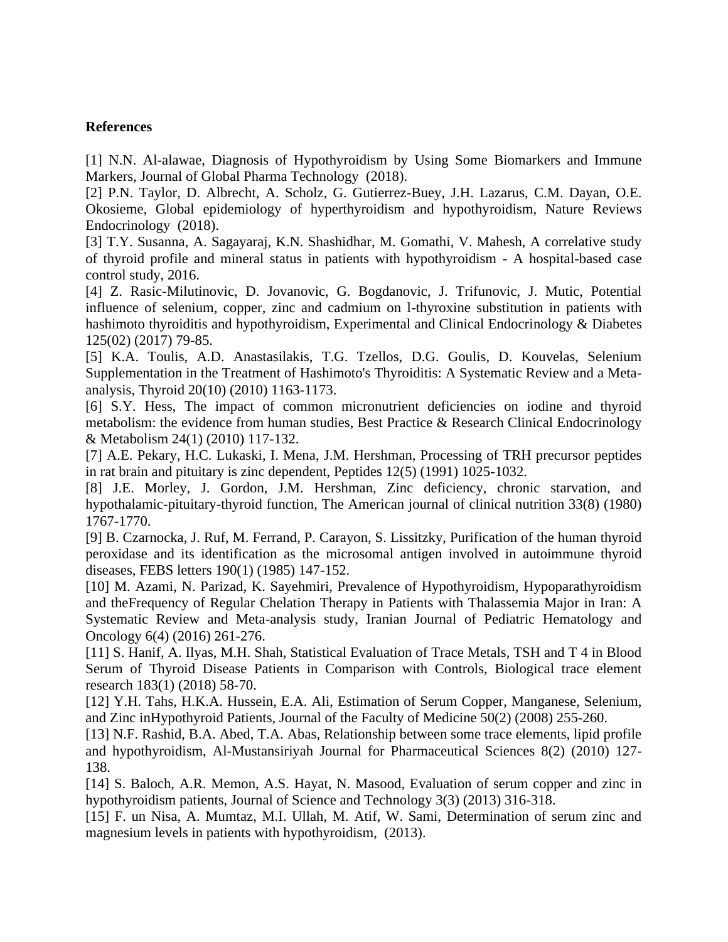# **References**

[1] N.N. Al-alawae, Diagnosis of Hypothyroidism by Using Some Biomarkers and Immune Markers, Journal of Global Pharma Technology (2018).

[2] P.N. Taylor, D. Albrecht, A. Scholz, G. Gutierrez-Buey, J.H. Lazarus, C.M. Dayan, O.E. Okosieme, Global epidemiology of hyperthyroidism and hypothyroidism, Nature Reviews Endocrinology (2018).

[3] T.Y. Susanna, A. Sagayaraj, K.N. Shashidhar, M. Gomathi, V. Mahesh, A correlative study of thyroid profile and mineral status in patients with hypothyroidism - A hospital-based case control study, 2016.

[4] Z. Rasic-Milutinovic, D. Jovanovic, G. Bogdanovic, J. Trifunovic, J. Mutic, Potential influence of selenium, copper, zinc and cadmium on l-thyroxine substitution in patients with hashimoto thyroiditis and hypothyroidism, Experimental and Clinical Endocrinology & Diabetes 125(02) (2017) 79-85.

[5] K.A. Toulis, A.D. Anastasilakis, T.G. Tzellos, D.G. Goulis, D. Kouvelas, Selenium Supplementation in the Treatment of Hashimoto's Thyroiditis: A Systematic Review and a Metaanalysis, Thyroid 20(10) (2010) 1163-1173.

[6] S.Y. Hess, The impact of common micronutrient deficiencies on iodine and thyroid metabolism: the evidence from human studies, Best Practice & Research Clinical Endocrinology & Metabolism 24(1) (2010) 117-132.

[7] A.E. Pekary, H.C. Lukaski, I. Mena, J.M. Hershman, Processing of TRH precursor peptides in rat brain and pituitary is zinc dependent, Peptides 12(5) (1991) 1025-1032.

[8] J.E. Morley, J. Gordon, J.M. Hershman, Zinc deficiency, chronic starvation, and hypothalamic-pituitary-thyroid function, The American journal of clinical nutrition 33(8) (1980) 1767-1770.

[9] B. Czarnocka, J. Ruf, M. Ferrand, P. Carayon, S. Lissitzky, Purification of the human thyroid peroxidase and its identification as the microsomal antigen involved in autoimmune thyroid diseases, FEBS letters 190(1) (1985) 147-152.

[10] M. Azami, N. Parizad, K. Sayehmiri, Prevalence of Hypothyroidism, Hypoparathyroidism and theFrequency of Regular Chelation Therapy in Patients with Thalassemia Major in Iran: A Systematic Review and Meta-analysis study, Iranian Journal of Pediatric Hematology and Oncology 6(4) (2016) 261-276.

[11] S. Hanif, A. Ilyas, M.H. Shah, Statistical Evaluation of Trace Metals, TSH and T 4 in Blood Serum of Thyroid Disease Patients in Comparison with Controls, Biological trace element research 183(1) (2018) 58-70.

[12] Y.H. Tahs, H.K.A. Hussein, E.A. Ali, Estimation of Serum Copper, Manganese, Selenium, and Zinc inHypothyroid Patients, Journal of the Faculty of Medicine 50(2) (2008) 255-260.

[13] N.F. Rashid, B.A. Abed, T.A. Abas, Relationship between some trace elements, lipid profile and hypothyroidism, Al-Mustansiriyah Journal for Pharmaceutical Sciences 8(2) (2010) 127- 138.

[14] S. Baloch, A.R. Memon, A.S. Hayat, N. Masood, Evaluation of serum copper and zinc in hypothyroidism patients, Journal of Science and Technology 3(3) (2013) 316-318.

[15] F. un Nisa, A. Mumtaz, M.I. Ullah, M. Atif, W. Sami, Determination of serum zinc and magnesium levels in patients with hypothyroidism, (2013).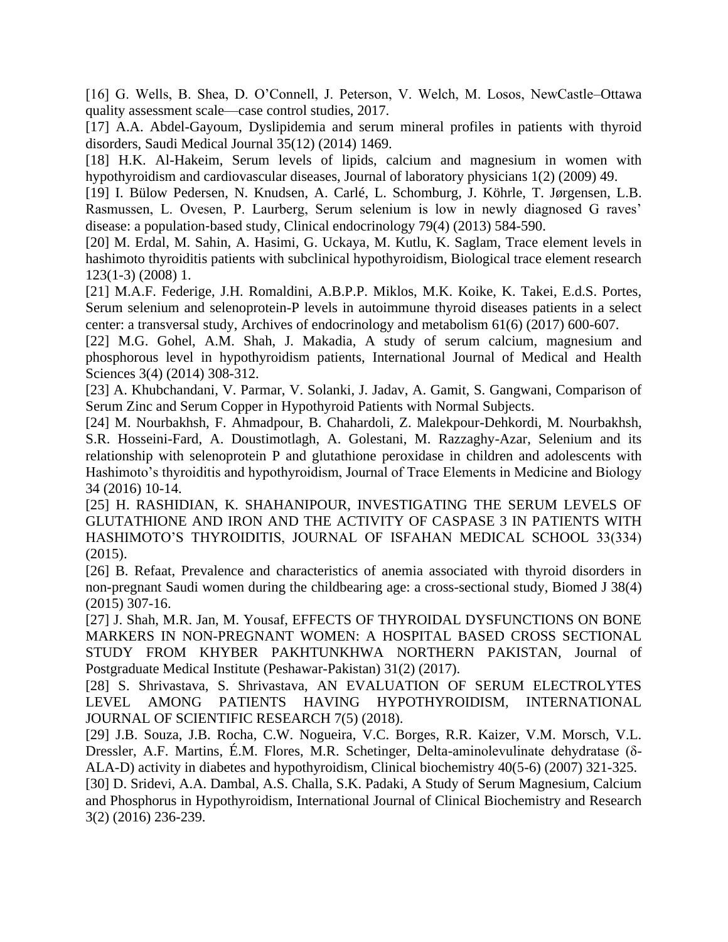[16] G. Wells, B. Shea, D. O'Connell, J. Peterson, V. Welch, M. Losos, NewCastle–Ottawa quality assessment scale—case control studies, 2017.

[17] A.A. Abdel-Gayoum, Dyslipidemia and serum mineral profiles in patients with thyroid disorders, Saudi Medical Journal 35(12) (2014) 1469.

[18] H.K. Al-Hakeim, Serum levels of lipids, calcium and magnesium in women with hypothyroidism and cardiovascular diseases, Journal of laboratory physicians 1(2) (2009) 49.

[19] I. Bülow Pedersen, N. Knudsen, A. Carlé, L. Schomburg, J. Köhrle, T. Jørgensen, L.B. Rasmussen, L. Ovesen, P. Laurberg, Serum selenium is low in newly diagnosed G raves' disease: a population‐based study, Clinical endocrinology 79(4) (2013) 584-590.

[20] M. Erdal, M. Sahin, A. Hasimi, G. Uckaya, M. Kutlu, K. Saglam, Trace element levels in hashimoto thyroiditis patients with subclinical hypothyroidism, Biological trace element research 123(1-3) (2008) 1.

[21] M.A.F. Federige, J.H. Romaldini, A.B.P.P. Miklos, M.K. Koike, K. Takei, E.d.S. Portes, Serum selenium and selenoprotein-P levels in autoimmune thyroid diseases patients in a select center: a transversal study, Archives of endocrinology and metabolism 61(6) (2017) 600-607.

[22] M.G. Gohel, A.M. Shah, J. Makadia, A study of serum calcium, magnesium and phosphorous level in hypothyroidism patients, International Journal of Medical and Health Sciences 3(4) (2014) 308-312.

[23] A. Khubchandani, V. Parmar, V. Solanki, J. Jadav, A. Gamit, S. Gangwani, Comparison of Serum Zinc and Serum Copper in Hypothyroid Patients with Normal Subjects.

[24] M. Nourbakhsh, F. Ahmadpour, B. Chahardoli, Z. Malekpour-Dehkordi, M. Nourbakhsh, S.R. Hosseini-Fard, A. Doustimotlagh, A. Golestani, M. Razzaghy-Azar, Selenium and its relationship with selenoprotein P and glutathione peroxidase in children and adolescents with Hashimoto's thyroiditis and hypothyroidism, Journal of Trace Elements in Medicine and Biology 34 (2016) 10-14.

[25] H. RASHIDIAN, K. SHAHANIPOUR, INVESTIGATING THE SERUM LEVELS OF GLUTATHIONE AND IRON AND THE ACTIVITY OF CASPASE 3 IN PATIENTS WITH HASHIMOTO'S THYROIDITIS, JOURNAL OF ISFAHAN MEDICAL SCHOOL 33(334) (2015).

[26] B. Refaat, Prevalence and characteristics of anemia associated with thyroid disorders in non-pregnant Saudi women during the childbearing age: a cross-sectional study, Biomed J 38(4) (2015) 307-16.

[27] J. Shah, M.R. Jan, M. Yousaf, EFFECTS OF THYROIDAL DYSFUNCTIONS ON BONE MARKERS IN NON-PREGNANT WOMEN: A HOSPITAL BASED CROSS SECTIONAL STUDY FROM KHYBER PAKHTUNKHWA NORTHERN PAKISTAN, Journal of Postgraduate Medical Institute (Peshawar-Pakistan) 31(2) (2017).

[28] S. Shrivastava, S. Shrivastava, AN EVALUATION OF SERUM ELECTROLYTES LEVEL AMONG PATIENTS HAVING HYPOTHYROIDISM, INTERNATIONAL JOURNAL OF SCIENTIFIC RESEARCH 7(5) (2018).

[29] J.B. Souza, J.B. Rocha, C.W. Nogueira, V.C. Borges, R.R. Kaizer, V.M. Morsch, V.L. Dressler, A.F. Martins, É.M. Flores, M.R. Schetinger, Delta-aminolevulinate dehydratase (δ-ALA-D) activity in diabetes and hypothyroidism, Clinical biochemistry 40(5-6) (2007) 321-325.

[30] D. Sridevi, A.A. Dambal, A.S. Challa, S.K. Padaki, A Study of Serum Magnesium, Calcium and Phosphorus in Hypothyroidism, International Journal of Clinical Biochemistry and Research 3(2) (2016) 236-239.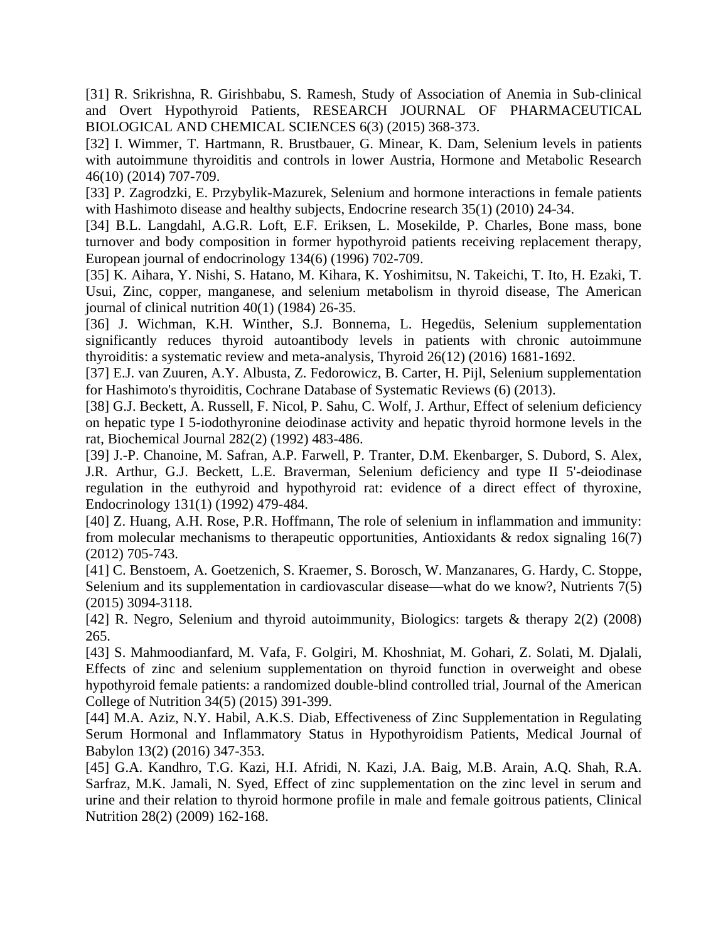[31] R. Srikrishna, R. Girishbabu, S. Ramesh, Study of Association of Anemia in Sub-clinical and Overt Hypothyroid Patients, RESEARCH JOURNAL OF PHARMACEUTICAL BIOLOGICAL AND CHEMICAL SCIENCES 6(3) (2015) 368-373.

[32] I. Wimmer, T. Hartmann, R. Brustbauer, G. Minear, K. Dam, Selenium levels in patients with autoimmune thyroiditis and controls in lower Austria, Hormone and Metabolic Research 46(10) (2014) 707-709.

[33] P. Zagrodzki, E. Przybylik-Mazurek, Selenium and hormone interactions in female patients with Hashimoto disease and healthy subjects, Endocrine research  $35(1)$  (2010) 24-34.

[34] B.L. Langdahl, A.G.R. Loft, E.F. Eriksen, L. Mosekilde, P. Charles, Bone mass, bone turnover and body composition in former hypothyroid patients receiving replacement therapy, European journal of endocrinology 134(6) (1996) 702-709.

[35] K. Aihara, Y. Nishi, S. Hatano, M. Kihara, K. Yoshimitsu, N. Takeichi, T. Ito, H. Ezaki, T. Usui, Zinc, copper, manganese, and selenium metabolism in thyroid disease, The American journal of clinical nutrition 40(1) (1984) 26-35.

[36] J. Wichman, K.H. Winther, S.J. Bonnema, L. Hegedüs, Selenium supplementation significantly reduces thyroid autoantibody levels in patients with chronic autoimmune thyroiditis: a systematic review and meta-analysis, Thyroid 26(12) (2016) 1681-1692.

[37] E.J. van Zuuren, A.Y. Albusta, Z. Fedorowicz, B. Carter, H. Pijl, Selenium supplementation for Hashimoto's thyroiditis, Cochrane Database of Systematic Reviews (6) (2013).

[38] G.J. Beckett, A. Russell, F. Nicol, P. Sahu, C. Wolf, J. Arthur, Effect of selenium deficiency on hepatic type I 5-iodothyronine deiodinase activity and hepatic thyroid hormone levels in the rat, Biochemical Journal 282(2) (1992) 483-486.

[39] J.-P. Chanoine, M. Safran, A.P. Farwell, P. Tranter, D.M. Ekenbarger, S. Dubord, S. Alex, J.R. Arthur, G.J. Beckett, L.E. Braverman, Selenium deficiency and type II 5'-deiodinase regulation in the euthyroid and hypothyroid rat: evidence of a direct effect of thyroxine, Endocrinology 131(1) (1992) 479-484.

[40] Z. Huang, A.H. Rose, P.R. Hoffmann, The role of selenium in inflammation and immunity: from molecular mechanisms to therapeutic opportunities, Antioxidants  $\&$  redox signaling 16(7) (2012) 705-743.

[41] C. Benstoem, A. Goetzenich, S. Kraemer, S. Borosch, W. Manzanares, G. Hardy, C. Stoppe, Selenium and its supplementation in cardiovascular disease—what do we know?, Nutrients 7(5) (2015) 3094-3118.

[42] R. Negro, Selenium and thyroid autoimmunity, Biologics: targets & therapy 2(2) (2008) 265.

[43] S. Mahmoodianfard, M. Vafa, F. Golgiri, M. Khoshniat, M. Gohari, Z. Solati, M. Djalali, Effects of zinc and selenium supplementation on thyroid function in overweight and obese hypothyroid female patients: a randomized double-blind controlled trial, Journal of the American College of Nutrition 34(5) (2015) 391-399.

[44] M.A. Aziz, N.Y. Habil, A.K.S. Diab, Effectiveness of Zinc Supplementation in Regulating Serum Hormonal and Inflammatory Status in Hypothyroidism Patients, Medical Journal of Babylon 13(2) (2016) 347-353.

[45] G.A. Kandhro, T.G. Kazi, H.I. Afridi, N. Kazi, J.A. Baig, M.B. Arain, A.Q. Shah, R.A. Sarfraz, M.K. Jamali, N. Syed, Effect of zinc supplementation on the zinc level in serum and urine and their relation to thyroid hormone profile in male and female goitrous patients, Clinical Nutrition 28(2) (2009) 162-168.